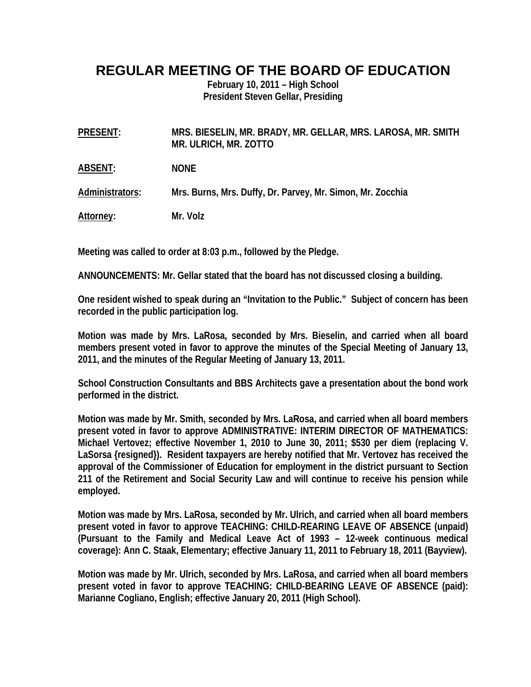## **REGULAR MEETING OF THE BOARD OF EDUCATION**

**February 10, 2011 – High School President Steven Gellar, Presiding** 

**PRESENT: MRS. BIESELIN, MR. BRADY, MR. GELLAR, MRS. LAROSA, MR. SMITH MR. ULRICH, MR. ZOTTO** 

**ABSENT: NONE** 

**Administrators: Mrs. Burns, Mrs. Duffy, Dr. Parvey, Mr. Simon, Mr. Zocchia** 

**Attorney: Mr. Volz** 

**Meeting was called to order at 8:03 p.m., followed by the Pledge.** 

**ANNOUNCEMENTS: Mr. Gellar stated that the board has not discussed closing a building.** 

**One resident wished to speak during an "Invitation to the Public." Subject of concern has been recorded in the public participation log.** 

**Motion was made by Mrs. LaRosa, seconded by Mrs. Bieselin, and carried when all board members present voted in favor to approve the minutes of the Special Meeting of January 13, 2011, and the minutes of the Regular Meeting of January 13, 2011.** 

**School Construction Consultants and BBS Architects gave a presentation about the bond work performed in the district.** 

**Motion was made by Mr. Smith, seconded by Mrs. LaRosa, and carried when all board members present voted in favor to approve ADMINISTRATIVE: INTERIM DIRECTOR OF MATHEMATICS: Michael Vertovez; effective November 1, 2010 to June 30, 2011; \$530 per diem (replacing V. LaSorsa {resigned}). Resident taxpayers are hereby notified that Mr. Vertovez has received the approval of the Commissioner of Education for employment in the district pursuant to Section 211 of the Retirement and Social Security Law and will continue to receive his pension while employed.** 

**Motion was made by Mrs. LaRosa, seconded by Mr. Ulrich, and carried when all board members present voted in favor to approve TEACHING: CHILD-REARING LEAVE OF ABSENCE (unpaid) (Pursuant to the Family and Medical Leave Act of 1993 – 12-week continuous medical coverage): Ann C. Staak, Elementary; effective January 11, 2011 to February 18, 2011 (Bayview).** 

**Motion was made by Mr. Ulrich, seconded by Mrs. LaRosa, and carried when all board members present voted in favor to approve TEACHING: CHILD-BEARING LEAVE OF ABSENCE (paid): Marianne Cogliano, English; effective January 20, 2011 (High School).**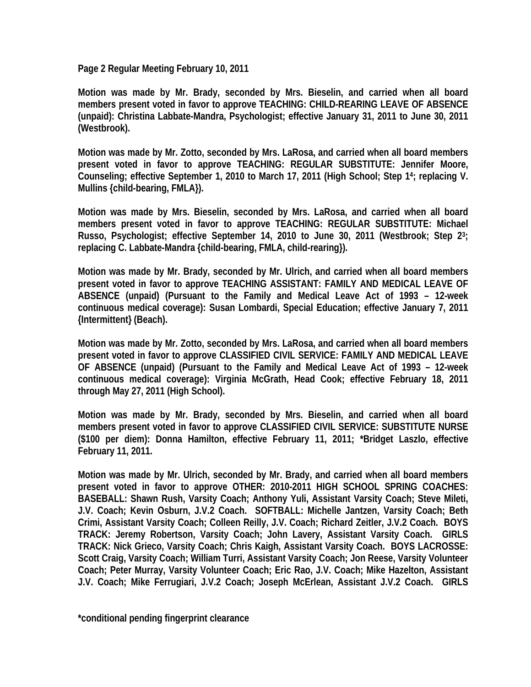**Page 2 Regular Meeting February 10, 2011** 

**Motion was made by Mr. Brady, seconded by Mrs. Bieselin, and carried when all board members present voted in favor to approve TEACHING: CHILD-REARING LEAVE OF ABSENCE (unpaid): Christina Labbate-Mandra, Psychologist; effective January 31, 2011 to June 30, 2011 (Westbrook).** 

**Motion was made by Mr. Zotto, seconded by Mrs. LaRosa, and carried when all board members present voted in favor to approve TEACHING: REGULAR SUBSTITUTE: Jennifer Moore, Counseling; effective September 1, 2010 to March 17, 2011 (High School; Step 14; replacing V. Mullins {child-bearing, FMLA}).** 

**Motion was made by Mrs. Bieselin, seconded by Mrs. LaRosa, and carried when all board members present voted in favor to approve TEACHING: REGULAR SUBSTITUTE: Michael Russo, Psychologist; effective September 14, 2010 to June 30, 2011 (Westbrook; Step 23; replacing C. Labbate-Mandra {child-bearing, FMLA, child-rearing}).** 

**Motion was made by Mr. Brady, seconded by Mr. Ulrich, and carried when all board members present voted in favor to approve TEACHING ASSISTANT: FAMILY AND MEDICAL LEAVE OF ABSENCE (unpaid) (Pursuant to the Family and Medical Leave Act of 1993 – 12-week continuous medical coverage): Susan Lombardi, Special Education; effective January 7, 2011 {Intermittent} (Beach).** 

**Motion was made by Mr. Zotto, seconded by Mrs. LaRosa, and carried when all board members present voted in favor to approve CLASSIFIED CIVIL SERVICE: FAMILY AND MEDICAL LEAVE OF ABSENCE (unpaid) (Pursuant to the Family and Medical Leave Act of 1993 – 12-week continuous medical coverage): Virginia McGrath, Head Cook; effective February 18, 2011 through May 27, 2011 (High School).** 

**Motion was made by Mr. Brady, seconded by Mrs. Bieselin, and carried when all board members present voted in favor to approve CLASSIFIED CIVIL SERVICE: SUBSTITUTE NURSE (\$100 per diem): Donna Hamilton, effective February 11, 2011; \*Bridget Laszlo, effective February 11, 2011.** 

**Motion was made by Mr. Ulrich, seconded by Mr. Brady, and carried when all board members present voted in favor to approve OTHER: 2010-2011 HIGH SCHOOL SPRING COACHES: BASEBALL: Shawn Rush, Varsity Coach; Anthony Yuli, Assistant Varsity Coach; Steve Mileti, J.V. Coach; Kevin Osburn, J.V.2 Coach. SOFTBALL: Michelle Jantzen, Varsity Coach; Beth Crimi, Assistant Varsity Coach; Colleen Reilly, J.V. Coach; Richard Zeitler, J.V.2 Coach. BOYS TRACK: Jeremy Robertson, Varsity Coach; John Lavery, Assistant Varsity Coach. GIRLS TRACK: Nick Grieco, Varsity Coach; Chris Kaigh, Assistant Varsity Coach. BOYS LACROSSE: Scott Craig, Varsity Coach; William Turri, Assistant Varsity Coach; Jon Reese, Varsity Volunteer Coach; Peter Murray, Varsity Volunteer Coach; Eric Rao, J.V. Coach; Mike Hazelton, Assistant J.V. Coach; Mike Ferrugiari, J.V.2 Coach; Joseph McErlean, Assistant J.V.2 Coach. GIRLS** 

**\*conditional pending fingerprint clearance**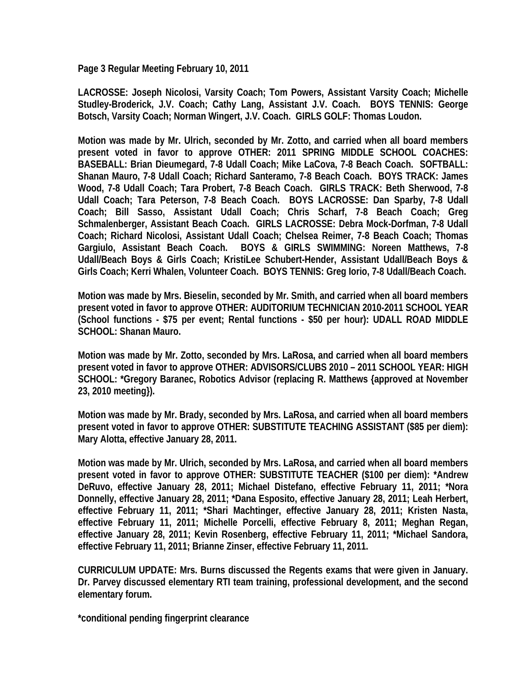**Page 3 Regular Meeting February 10, 2011** 

**LACROSSE: Joseph Nicolosi, Varsity Coach; Tom Powers, Assistant Varsity Coach; Michelle Studley-Broderick, J.V. Coach; Cathy Lang, Assistant J.V. Coach. BOYS TENNIS: George Botsch, Varsity Coach; Norman Wingert, J.V. Coach. GIRLS GOLF: Thomas Loudon.** 

**Motion was made by Mr. Ulrich, seconded by Mr. Zotto, and carried when all board members present voted in favor to approve OTHER: 2011 SPRING MIDDLE SCHOOL COACHES: BASEBALL: Brian Dieumegard, 7-8 Udall Coach; Mike LaCova, 7-8 Beach Coach. SOFTBALL: Shanan Mauro, 7-8 Udall Coach; Richard Santeramo, 7-8 Beach Coach. BOYS TRACK: James Wood, 7-8 Udall Coach; Tara Probert, 7-8 Beach Coach. GIRLS TRACK: Beth Sherwood, 7-8 Udall Coach; Tara Peterson, 7-8 Beach Coach. BOYS LACROSSE: Dan Sparby, 7-8 Udall Coach; Bill Sasso, Assistant Udall Coach; Chris Scharf, 7-8 Beach Coach; Greg Schmalenberger, Assistant Beach Coach. GIRLS LACROSSE: Debra Mock-Dorfman, 7-8 Udall Coach; Richard Nicolosi, Assistant Udall Coach; Chelsea Reimer, 7-8 Beach Coach; Thomas Gargiulo, Assistant Beach Coach. BOYS & GIRLS SWIMMING: Noreen Matthews, 7-8 Udall/Beach Boys & Girls Coach; KristiLee Schubert-Hender, Assistant Udall/Beach Boys & Girls Coach; Kerri Whalen, Volunteer Coach. BOYS TENNIS: Greg Iorio, 7-8 Udall/Beach Coach.** 

**Motion was made by Mrs. Bieselin, seconded by Mr. Smith, and carried when all board members present voted in favor to approve OTHER: AUDITORIUM TECHNICIAN 2010-2011 SCHOOL YEAR (School functions - \$75 per event; Rental functions - \$50 per hour): UDALL ROAD MIDDLE SCHOOL: Shanan Mauro.** 

**Motion was made by Mr. Zotto, seconded by Mrs. LaRosa, and carried when all board members present voted in favor to approve OTHER: ADVISORS/CLUBS 2010 – 2011 SCHOOL YEAR: HIGH SCHOOL: \*Gregory Baranec, Robotics Advisor (replacing R. Matthews {approved at November 23, 2010 meeting}).** 

**Motion was made by Mr. Brady, seconded by Mrs. LaRosa, and carried when all board members present voted in favor to approve OTHER: SUBSTITUTE TEACHING ASSISTANT (\$85 per diem): Mary Alotta, effective January 28, 2011.** 

**Motion was made by Mr. Ulrich, seconded by Mrs. LaRosa, and carried when all board members present voted in favor to approve OTHER: SUBSTITUTE TEACHER (\$100 per diem): \*Andrew DeRuvo, effective January 28, 2011; Michael Distefano, effective February 11, 2011; \*Nora Donnelly, effective January 28, 2011; \*Dana Esposito, effective January 28, 2011; Leah Herbert, effective February 11, 2011; \*Shari Machtinger, effective January 28, 2011; Kristen Nasta, effective February 11, 2011; Michelle Porcelli, effective February 8, 2011; Meghan Regan, effective January 28, 2011; Kevin Rosenberg, effective February 11, 2011; \*Michael Sandora, effective February 11, 2011; Brianne Zinser, effective February 11, 2011.** 

**CURRICULUM UPDATE: Mrs. Burns discussed the Regents exams that were given in January. Dr. Parvey discussed elementary RTI team training, professional development, and the second elementary forum.** 

**\*conditional pending fingerprint clearance**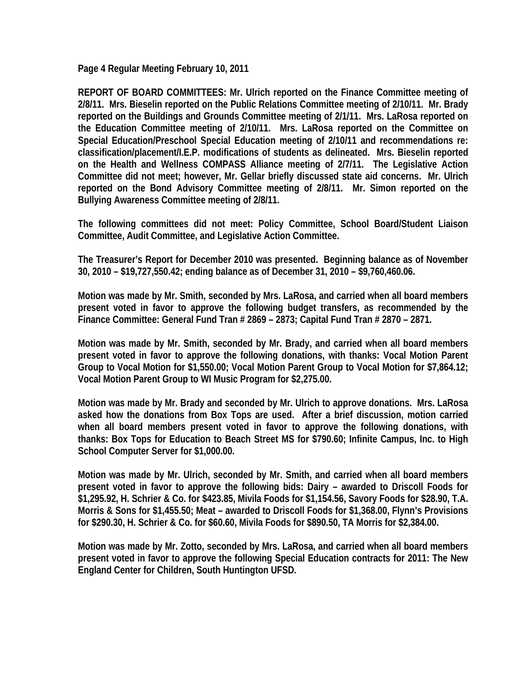**Page 4 Regular Meeting February 10, 2011** 

**REPORT OF BOARD COMMITTEES: Mr. Ulrich reported on the Finance Committee meeting of 2/8/11. Mrs. Bieselin reported on the Public Relations Committee meeting of 2/10/11. Mr. Brady reported on the Buildings and Grounds Committee meeting of 2/1/11. Mrs. LaRosa reported on the Education Committee meeting of 2/10/11. Mrs. LaRosa reported on the Committee on Special Education/Preschool Special Education meeting of 2/10/11 and recommendations re: classification/placement/I.E.P. modifications of students as delineated. Mrs. Bieselin reported on the Health and Wellness COMPASS Alliance meeting of 2/7/11. The Legislative Action Committee did not meet; however, Mr. Gellar briefly discussed state aid concerns. Mr. Ulrich reported on the Bond Advisory Committee meeting of 2/8/11. Mr. Simon reported on the Bullying Awareness Committee meeting of 2/8/11.** 

**The following committees did not meet: Policy Committee, School Board/Student Liaison Committee, Audit Committee, and Legislative Action Committee.** 

**The Treasurer's Report for December 2010 was presented. Beginning balance as of November 30, 2010 – \$19,727,550.42; ending balance as of December 31, 2010 – \$9,760,460.06.** 

**Motion was made by Mr. Smith, seconded by Mrs. LaRosa, and carried when all board members present voted in favor to approve the following budget transfers, as recommended by the Finance Committee: General Fund Tran # 2869 – 2873; Capital Fund Tran # 2870 – 2871.** 

**Motion was made by Mr. Smith, seconded by Mr. Brady, and carried when all board members present voted in favor to approve the following donations, with thanks: Vocal Motion Parent Group to Vocal Motion for \$1,550.00; Vocal Motion Parent Group to Vocal Motion for \$7,864.12; Vocal Motion Parent Group to WI Music Program for \$2,275.00.** 

**Motion was made by Mr. Brady and seconded by Mr. Ulrich to approve donations. Mrs. LaRosa asked how the donations from Box Tops are used. After a brief discussion, motion carried when all board members present voted in favor to approve the following donations, with thanks: Box Tops for Education to Beach Street MS for \$790.60; Infinite Campus, Inc. to High School Computer Server for \$1,000.00.** 

**Motion was made by Mr. Ulrich, seconded by Mr. Smith, and carried when all board members present voted in favor to approve the following bids: Dairy – awarded to Driscoll Foods for \$1,295.92, H. Schrier & Co. for \$423.85, Mivila Foods for \$1,154.56, Savory Foods for \$28.90, T.A. Morris & Sons for \$1,455.50; Meat – awarded to Driscoll Foods for \$1,368.00, Flynn's Provisions for \$290.30, H. Schrier & Co. for \$60.60, Mivila Foods for \$890.50, TA Morris for \$2,384.00.** 

**Motion was made by Mr. Zotto, seconded by Mrs. LaRosa, and carried when all board members present voted in favor to approve the following Special Education contracts for 2011: The New England Center for Children, South Huntington UFSD.**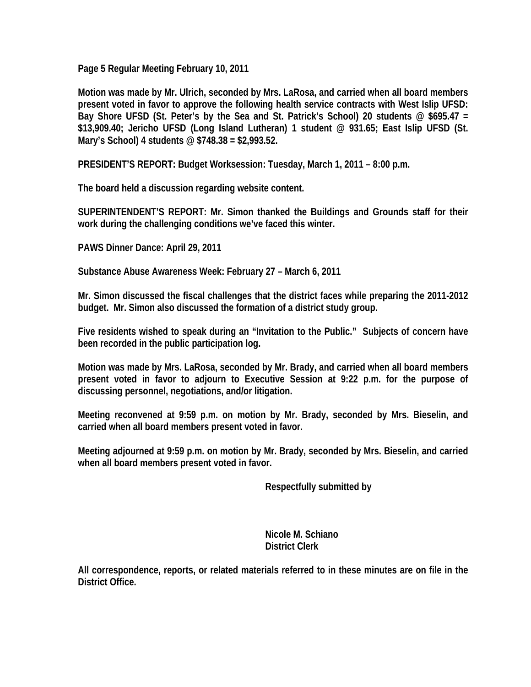**Page 5 Regular Meeting February 10, 2011** 

**Motion was made by Mr. Ulrich, seconded by Mrs. LaRosa, and carried when all board members present voted in favor to approve the following health service contracts with West Islip UFSD: Bay Shore UFSD (St. Peter's by the Sea and St. Patrick's School) 20 students @ \$695.47 = \$13,909.40; Jericho UFSD (Long Island Lutheran) 1 student @ 931.65; East Islip UFSD (St. Mary's School) 4 students @ \$748.38 = \$2,993.52.** 

**PRESIDENT'S REPORT: Budget Worksession: Tuesday, March 1, 2011 – 8:00 p.m.** 

**The board held a discussion regarding website content.** 

**SUPERINTENDENT'S REPORT: Mr. Simon thanked the Buildings and Grounds staff for their work during the challenging conditions we've faced this winter.** 

**PAWS Dinner Dance: April 29, 2011** 

**Substance Abuse Awareness Week: February 27 – March 6, 2011** 

**Mr. Simon discussed the fiscal challenges that the district faces while preparing the 2011-2012 budget. Mr. Simon also discussed the formation of a district study group.** 

**Five residents wished to speak during an "Invitation to the Public." Subjects of concern have been recorded in the public participation log.** 

**Motion was made by Mrs. LaRosa, seconded by Mr. Brady, and carried when all board members present voted in favor to adjourn to Executive Session at 9:22 p.m. for the purpose of discussing personnel, negotiations, and/or litigation.** 

**Meeting reconvened at 9:59 p.m. on motion by Mr. Brady, seconded by Mrs. Bieselin, and carried when all board members present voted in favor.** 

**Meeting adjourned at 9:59 p.m. on motion by Mr. Brady, seconded by Mrs. Bieselin, and carried when all board members present voted in favor.** 

 **Respectfully submitted by** 

 **Nicole M. Schiano District Clerk** 

**All correspondence, reports, or related materials referred to in these minutes are on file in the District Office.**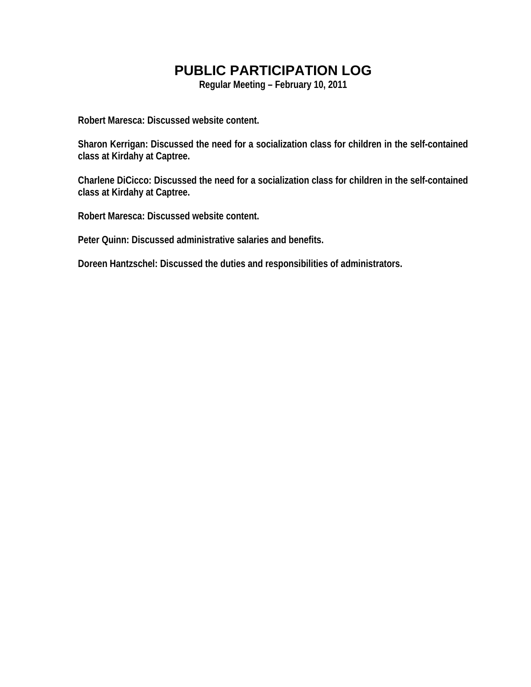## **PUBLIC PARTICIPATION LOG**

**Regular Meeting – February 10, 2011** 

**Robert Maresca: Discussed website content.** 

**Sharon Kerrigan: Discussed the need for a socialization class for children in the self-contained class at Kirdahy at Captree.** 

**Charlene DiCicco: Discussed the need for a socialization class for children in the self-contained class at Kirdahy at Captree.** 

**Robert Maresca: Discussed website content.** 

**Peter Quinn: Discussed administrative salaries and benefits.** 

**Doreen Hantzschel: Discussed the duties and responsibilities of administrators.**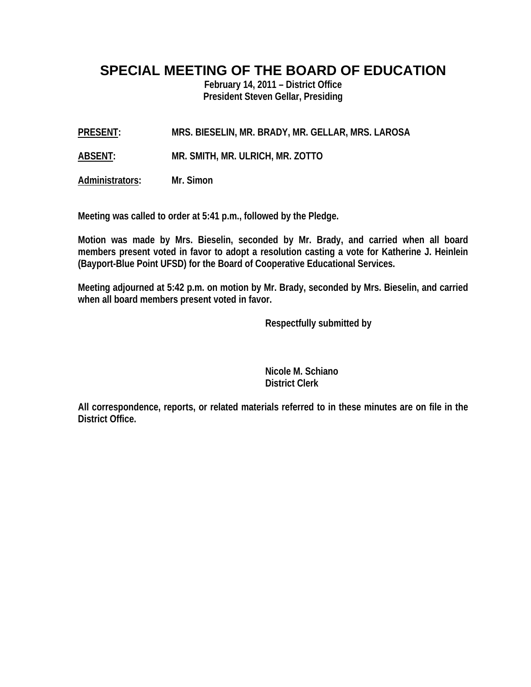## **SPECIAL MEETING OF THE BOARD OF EDUCATION**

**February 14, 2011 – District Office President Steven Gellar, Presiding** 

**PRESENT: MRS. BIESELIN, MR. BRADY, MR. GELLAR, MRS. LAROSA** 

**ABSENT: MR. SMITH, MR. ULRICH, MR. ZOTTO** 

**Administrators: Mr. Simon** 

**Meeting was called to order at 5:41 p.m., followed by the Pledge.** 

**Motion was made by Mrs. Bieselin, seconded by Mr. Brady, and carried when all board members present voted in favor to adopt a resolution casting a vote for Katherine J. Heinlein (Bayport-Blue Point UFSD) for the Board of Cooperative Educational Services.** 

**Meeting adjourned at 5:42 p.m. on motion by Mr. Brady, seconded by Mrs. Bieselin, and carried when all board members present voted in favor.** 

 **Respectfully submitted by** 

 **Nicole M. Schiano District Clerk** 

**All correspondence, reports, or related materials referred to in these minutes are on file in the District Office.**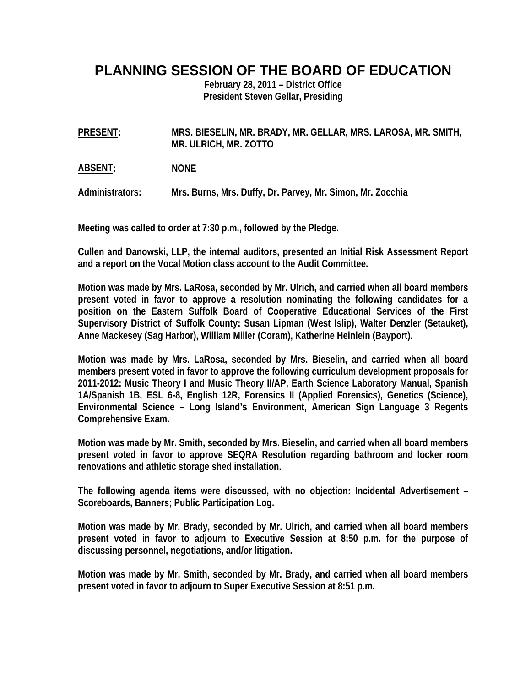## **PLANNING SESSION OF THE BOARD OF EDUCATION**

**February 28, 2011 – District Office President Steven Gellar, Presiding** 

**PRESENT: MRS. BIESELIN, MR. BRADY, MR. GELLAR, MRS. LAROSA, MR. SMITH, MR. ULRICH, MR. ZOTTO** 

**ABSENT: NONE** 

**Administrators: Mrs. Burns, Mrs. Duffy, Dr. Parvey, Mr. Simon, Mr. Zocchia** 

**Meeting was called to order at 7:30 p.m., followed by the Pledge.** 

**Cullen and Danowski, LLP, the internal auditors, presented an Initial Risk Assessment Report and a report on the Vocal Motion class account to the Audit Committee.** 

**Motion was made by Mrs. LaRosa, seconded by Mr. Ulrich, and carried when all board members present voted in favor to approve a resolution nominating the following candidates for a position on the Eastern Suffolk Board of Cooperative Educational Services of the First Supervisory District of Suffolk County: Susan Lipman (West Islip), Walter Denzler (Setauket), Anne Mackesey (Sag Harbor), William Miller (Coram), Katherine Heinlein (Bayport).** 

**Motion was made by Mrs. LaRosa, seconded by Mrs. Bieselin, and carried when all board members present voted in favor to approve the following curriculum development proposals for 2011-2012: Music Theory I and Music Theory II/AP, Earth Science Laboratory Manual, Spanish 1A/Spanish 1B, ESL 6-8, English 12R, Forensics II (Applied Forensics), Genetics (Science), Environmental Science – Long Island's Environment, American Sign Language 3 Regents Comprehensive Exam.** 

**Motion was made by Mr. Smith, seconded by Mrs. Bieselin, and carried when all board members present voted in favor to approve SEQRA Resolution regarding bathroom and locker room renovations and athletic storage shed installation.** 

**The following agenda items were discussed, with no objection: Incidental Advertisement – Scoreboards, Banners; Public Participation Log.** 

**Motion was made by Mr. Brady, seconded by Mr. Ulrich, and carried when all board members present voted in favor to adjourn to Executive Session at 8:50 p.m. for the purpose of discussing personnel, negotiations, and/or litigation.** 

**Motion was made by Mr. Smith, seconded by Mr. Brady, and carried when all board members present voted in favor to adjourn to Super Executive Session at 8:51 p.m.**